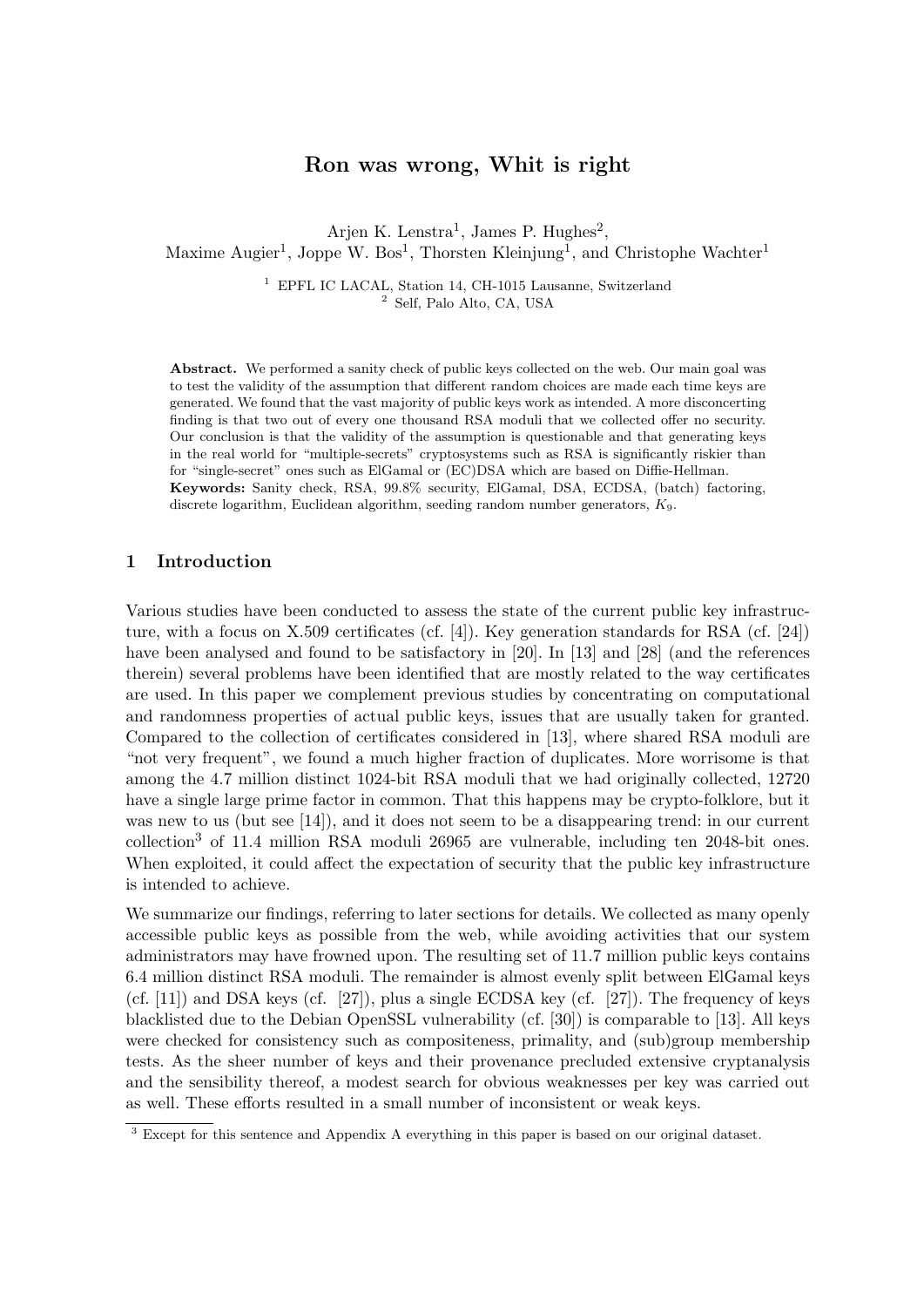# Ron was wrong, Whit is right

Arjen K. Lenstra<sup>1</sup>, James P. Hughes<sup>2</sup>, Maxime Augier<sup>1</sup>, Joppe W. Bos<sup>1</sup>, Thorsten Kleinjung<sup>1</sup>, and Christophe Wachter<sup>1</sup>

> <sup>1</sup> EPFL IC LACAL, Station 14, CH-1015 Lausanne, Switzerland <sup>2</sup> Self, Palo Alto, CA, USA

Abstract. We performed a sanity check of public keys collected on the web. Our main goal was to test the validity of the assumption that different random choices are made each time keys are generated. We found that the vast majority of public keys work as intended. A more disconcerting finding is that two out of every one thousand RSA moduli that we collected offer no security. Our conclusion is that the validity of the assumption is questionable and that generating keys in the real world for "multiple-secrets" cryptosystems such as RSA is significantly riskier than for "single-secret" ones such as ElGamal or (EC)DSA which are based on Diffie-Hellman. Keywords: Sanity check, RSA, 99.8% security, ElGamal, DSA, ECDSA, (batch) factoring, discrete logarithm, Euclidean algorithm, seeding random number generators, K9.

# 1 Introduction

Various studies have been conducted to assess the state of the current public key infrastructure, with a focus on X.509 certificates (cf. [4]). Key generation standards for RSA (cf. [24]) have been analysed and found to be satisfactory in [20]. In [13] and [28] (and the references therein) several problems have been identified that are mostly related to the way certificates are used. In this paper we complement previous studies by concentrating on computational and randomness properties of actual public keys, issues that are usually taken for granted. Compared to the collection of certificates considered in [13], where shared RSA moduli are "not very frequent", we found a much higher fraction of duplicates. More worrisome is that among the 4.7 million distinct 1024-bit RSA moduli that we had originally collected, 12720 have a single large prime factor in common. That this happens may be crypto-folklore, but it was new to us (but see [14]), and it does not seem to be a disappearing trend: in our current collection<sup>3</sup> of 11.4 million RSA moduli 26965 are vulnerable, including ten 2048-bit ones. When exploited, it could affect the expectation of security that the public key infrastructure is intended to achieve.

We summarize our findings, referring to later sections for details. We collected as many openly accessible public keys as possible from the web, while avoiding activities that our system administrators may have frowned upon. The resulting set of 11.7 million public keys contains 6.4 million distinct RSA moduli. The remainder is almost evenly split between ElGamal keys (cf.  $[11]$ ) and DSA keys (cf.  $[27]$ ), plus a single ECDSA key (cf.  $[27]$ ). The frequency of keys blacklisted due to the Debian OpenSSL vulnerability (cf. [30]) is comparable to [13]. All keys were checked for consistency such as compositeness, primality, and (sub)group membership tests. As the sheer number of keys and their provenance precluded extensive cryptanalysis and the sensibility thereof, a modest search for obvious weaknesses per key was carried out as well. These efforts resulted in a small number of inconsistent or weak keys.

<sup>&</sup>lt;sup>3</sup> Except for this sentence and Appendix A everything in this paper is based on our original dataset.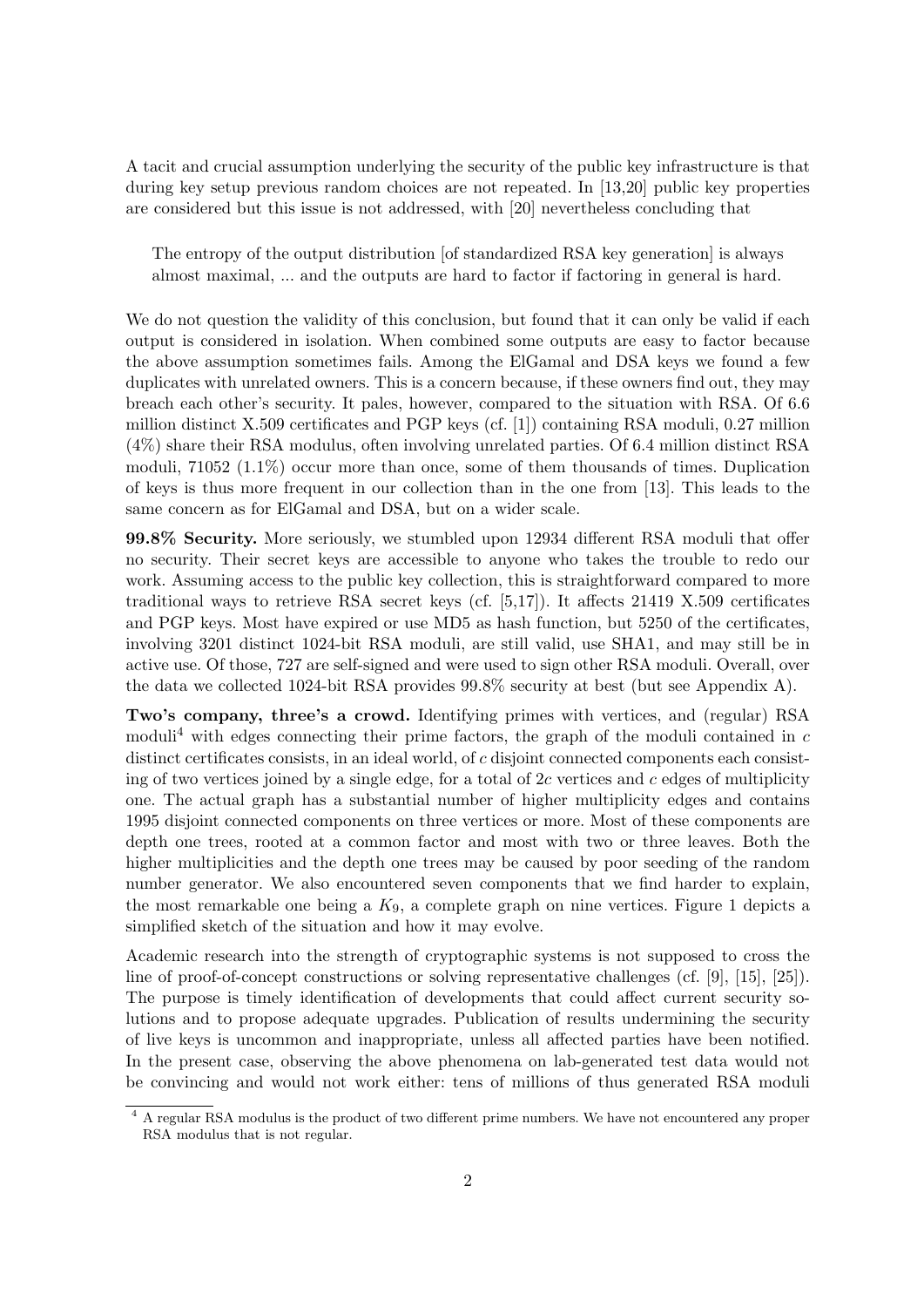A tacit and crucial assumption underlying the security of the public key infrastructure is that during key setup previous random choices are not repeated. In [13,20] public key properties are considered but this issue is not addressed, with [20] nevertheless concluding that

The entropy of the output distribution [of standardized RSA key generation] is always almost maximal, ... and the outputs are hard to factor if factoring in general is hard.

We do not question the validity of this conclusion, but found that it can only be valid if each output is considered in isolation. When combined some outputs are easy to factor because the above assumption sometimes fails. Among the ElGamal and DSA keys we found a few duplicates with unrelated owners. This is a concern because, if these owners find out, they may breach each other's security. It pales, however, compared to the situation with RSA. Of 6.6 million distinct X.509 certificates and PGP keys (cf. [1]) containing RSA moduli, 0.27 million (4%) share their RSA modulus, often involving unrelated parties. Of 6.4 million distinct RSA moduli, 71052 (1.1%) occur more than once, some of them thousands of times. Duplication of keys is thus more frequent in our collection than in the one from [13]. This leads to the same concern as for ElGamal and DSA, but on a wider scale.

99.8% Security. More seriously, we stumbled upon 12934 different RSA moduli that offer no security. Their secret keys are accessible to anyone who takes the trouble to redo our work. Assuming access to the public key collection, this is straightforward compared to more traditional ways to retrieve RSA secret keys (cf. [5,17]). It affects 21419 X.509 certificates and PGP keys. Most have expired or use MD5 as hash function, but 5250 of the certificates, involving 3201 distinct 1024-bit RSA moduli, are still valid, use SHA1, and may still be in active use. Of those, 727 are self-signed and were used to sign other RSA moduli. Overall, over the data we collected 1024-bit RSA provides 99.8% security at best (but see Appendix A).

Two's company, three's a crowd. Identifying primes with vertices, and (regular) RSA moduli<sup>4</sup> with edges connecting their prime factors, the graph of the moduli contained in  $c$ distinct certificates consists, in an ideal world, of c disjoint connected components each consisting of two vertices joined by a single edge, for a total of  $2c$  vertices and c edges of multiplicity one. The actual graph has a substantial number of higher multiplicity edges and contains 1995 disjoint connected components on three vertices or more. Most of these components are depth one trees, rooted at a common factor and most with two or three leaves. Both the higher multiplicities and the depth one trees may be caused by poor seeding of the random number generator. We also encountered seven components that we find harder to explain, the most remarkable one being a  $K_9$ , a complete graph on nine vertices. Figure 1 depicts a simplified sketch of the situation and how it may evolve.

Academic research into the strength of cryptographic systems is not supposed to cross the line of proof-of-concept constructions or solving representative challenges (cf. [9], [15], [25]). The purpose is timely identification of developments that could affect current security solutions and to propose adequate upgrades. Publication of results undermining the security of live keys is uncommon and inappropriate, unless all affected parties have been notified. In the present case, observing the above phenomena on lab-generated test data would not be convincing and would not work either: tens of millions of thus generated RSA moduli

<sup>&</sup>lt;sup>4</sup> A regular RSA modulus is the product of two different prime numbers. We have not encountered any proper RSA modulus that is not regular.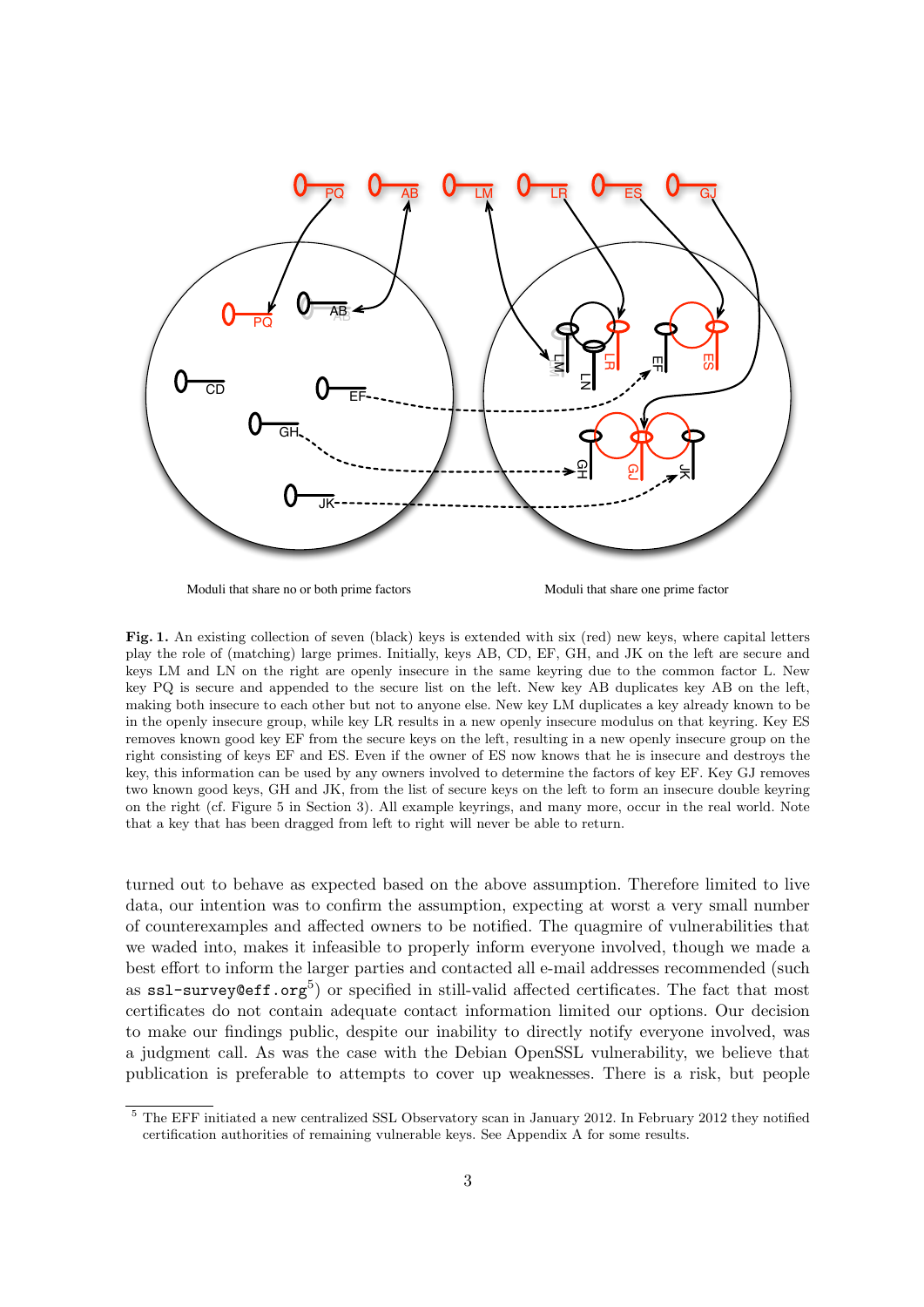

Moduli that share no or both prime factors Moduli that share one prime factor

Fig. 1. An existing collection of seven (black) keys is extended with six (red) new keys, where capital letters play the role of (matching) large primes. Initially, keys AB, CD, EF, GH, and JK on the left are secure and keys LM and LN on the right are openly insecure in the same keyring due to the common factor L. New key PQ is secure and appended to the secure list on the left. New key AB duplicates key AB on the left, making both insecure to each other but not to anyone else. New key LM duplicates a key already known to be in the openly insecure group, while key LR results in a new openly insecure modulus on that keyring. Key ES removes known good key EF from the secure keys on the left, resulting in a new openly insecure group on the right consisting of keys EF and ES. Even if the owner of ES now knows that he is insecure and destroys the key, this information can be used by any owners involved to determine the factors of key EF. Key GJ removes two known good keys, GH and JK, from the list of secure keys on the left to form an insecure double keyring on the right (cf. Figure 5 in Section 3). All example keyrings, and many more, occur in the real world. Note that a key that has been dragged from left to right will never be able to return.

turned out to behave as expected based on the above assumption. Therefore limited to live data, our intention was to confirm the assumption, expecting at worst a very small number of counterexamples and affected owners to be notified. The quagmire of vulnerabilities that we waded into, makes it infeasible to properly inform everyone involved, though we made a best effort to inform the larger parties and contacted all e-mail addresses recommended (such as  $\texttt{ssl-surve}$ y@eff.org<sup>5</sup>) or specified in still-valid affected certificates. The fact that most certificates do not contain adequate contact information limited our options. Our decision to make our findings public, despite our inability to directly notify everyone involved, was a judgment call. As was the case with the Debian OpenSSL vulnerability, we believe that publication is preferable to attempts to cover up weaknesses. There is a risk, but people

<sup>5</sup> The EFF initiated a new centralized SSL Observatory scan in January 2012. In February 2012 they notified certification authorities of remaining vulnerable keys. See Appendix A for some results.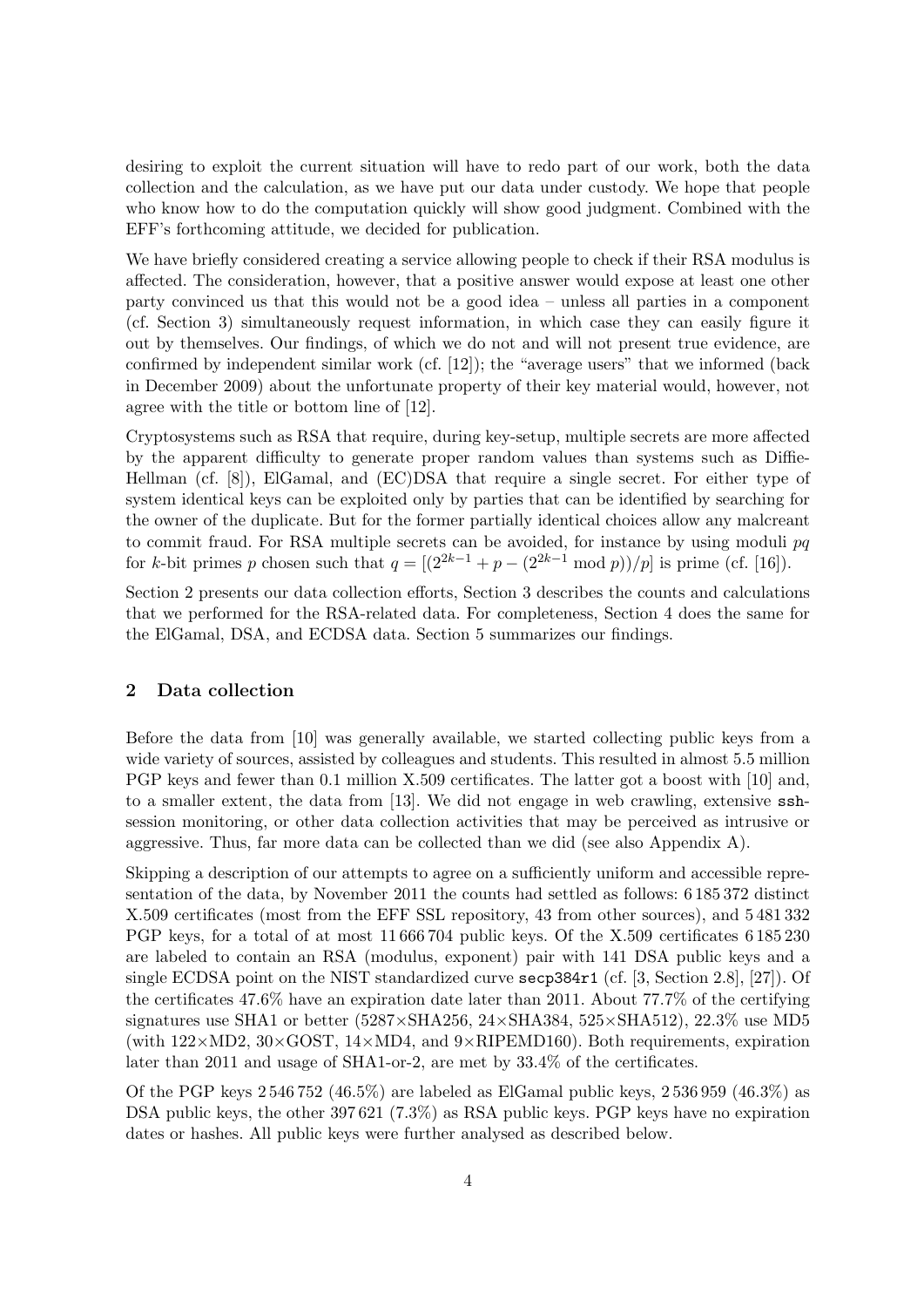desiring to exploit the current situation will have to redo part of our work, both the data collection and the calculation, as we have put our data under custody. We hope that people who know how to do the computation quickly will show good judgment. Combined with the EFF's forthcoming attitude, we decided for publication.

We have briefly considered creating a service allowing people to check if their RSA modulus is affected. The consideration, however, that a positive answer would expose at least one other party convinced us that this would not be a good idea – unless all parties in a component (cf. Section 3) simultaneously request information, in which case they can easily figure it out by themselves. Our findings, of which we do not and will not present true evidence, are confirmed by independent similar work (cf. [12]); the "average users" that we informed (back in December 2009) about the unfortunate property of their key material would, however, not agree with the title or bottom line of [12].

Cryptosystems such as RSA that require, during key-setup, multiple secrets are more affected by the apparent difficulty to generate proper random values than systems such as Diffie-Hellman (cf. [8]), ElGamal, and (EC)DSA that require a single secret. For either type of system identical keys can be exploited only by parties that can be identified by searching for the owner of the duplicate. But for the former partially identical choices allow any malcreant to commit fraud. For RSA multiple secrets can be avoided, for instance by using moduli pq for k-bit primes p chosen such that  $q = \left[\frac{2^{2k-1} + p - \frac{2^{2k-1}}{p - \frac{1}{p - \frac{1}{p - \frac{1}{p - \frac{1}{p - \frac{1}{p - \frac{1}{p - \frac{1}{p - \frac{1}{p - \frac{1}{p - \frac{1}{p - \frac{1}{p - \frac{1}{p - \frac{1}{p - \frac{1}{p - \frac{1}{p - \frac{1}{p - \frac{1}{p - \frac{1}{p - \frac{1}{p - \frac{1}{p - \frac{1}{p - \frac{1}{p -$ 

Section 2 presents our data collection efforts, Section 3 describes the counts and calculations that we performed for the RSA-related data. For completeness, Section 4 does the same for the ElGamal, DSA, and ECDSA data. Section 5 summarizes our findings.

## 2 Data collection

Before the data from [10] was generally available, we started collecting public keys from a wide variety of sources, assisted by colleagues and students. This resulted in almost 5.5 million PGP keys and fewer than 0.1 million X.509 certificates. The latter got a boost with [10] and, to a smaller extent, the data from [13]. We did not engage in web crawling, extensive sshsession monitoring, or other data collection activities that may be perceived as intrusive or aggressive. Thus, far more data can be collected than we did (see also Appendix A).

Skipping a description of our attempts to agree on a sufficiently uniform and accessible representation of the data, by November 2011 the counts had settled as follows: 6 185 372 distinct X.509 certificates (most from the EFF SSL repository, 43 from other sources), and 5 481 332 PGP keys, for a total of at most 11 666 704 public keys. Of the X.509 certificates 6 185 230 are labeled to contain an RSA (modulus, exponent) pair with 141 DSA public keys and a single ECDSA point on the NIST standardized curve secp384r1 (cf. [3, Section 2.8], [27]). Of the certificates 47.6% have an expiration date later than 2011. About 77.7% of the certifying signatures use SHA1 or better (5287×SHA256, 24×SHA384, 525×SHA512), 22.3% use MD5 (with  $122\times MD2$ ,  $30\times GOST$ ,  $14\times MD4$ , and  $9\times RIPEMD160$ ). Both requirements, expiration later than 2011 and usage of SHA1-or-2, are met by 33.4% of the certificates.

Of the PGP keys  $2\,546\,752\,(46.5\%)$  are labeled as ElGamal public keys,  $2\,536\,959\,(46.3\%)$  as DSA public keys, the other 397 621 (7.3%) as RSA public keys. PGP keys have no expiration dates or hashes. All public keys were further analysed as described below.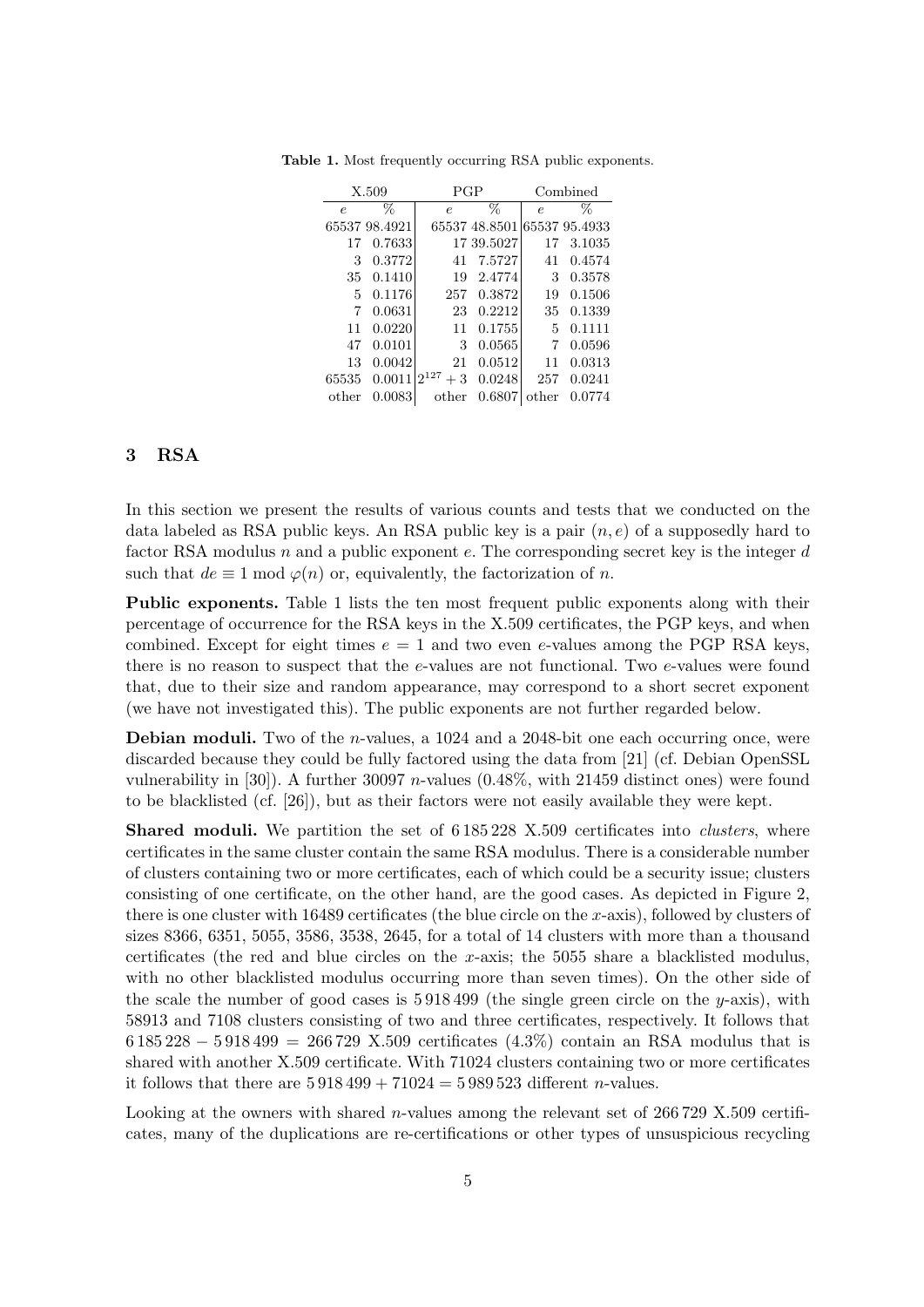| X.509      |               | PGP               |                             | Combined   |        |
|------------|---------------|-------------------|-----------------------------|------------|--------|
| $\epsilon$ | %             | $\epsilon$        | %                           | $\epsilon$ | %      |
|            | 65537 98.4921 |                   | 65537 48.8501 65537 95.4933 |            |        |
| 17         | 0.7633        |                   | 17 39.5027                  | 17         | 3.1035 |
| 3          | 0.3772        | 41                | 7.5727                      | 41         | 0.4574 |
| 35         | 0.1410        | 19                | 2.4774                      | 3          | 0.3578 |
| 5          | 0.1176        | 257               | 0.3872                      | 19         | 0.1506 |
| 7          | 0.0631        | 23                | 0.2212                      | 35         | 0.1339 |
| 11         | 0.0220        | 11                | 0.1755                      | 5          | 0.1111 |
| 47         | 0.0101        | 3                 | 0.0565                      | 7          | 0.0596 |
| 13         | 0.0042        | 21                | 0.0512                      | 11         | 0.0313 |
| 65535      | 0.0011        | $2^{127}$<br>$+3$ | 0.0248                      | 257        | 0.0241 |
| other      | 0.0083        | other             | 0.6807                      | other      | 0.0774 |

Table 1. Most frequently occurring RSA public exponents.

## 3 RSA

In this section we present the results of various counts and tests that we conducted on the data labeled as RSA public keys. An RSA public key is a pair  $(n, e)$  of a supposedly hard to factor RSA modulus n and a public exponent e. The corresponding secret key is the integer  $d$ such that  $de \equiv 1 \mod \varphi(n)$  or, equivalently, the factorization of n.

Public exponents. Table 1 lists the ten most frequent public exponents along with their percentage of occurrence for the RSA keys in the X.509 certificates, the PGP keys, and when combined. Except for eight times  $e = 1$  and two even e-values among the PGP RSA keys, there is no reason to suspect that the e-values are not functional. Two e-values were found that, due to their size and random appearance, may correspond to a short secret exponent (we have not investigated this). The public exponents are not further regarded below.

**Debian moduli.** Two of the *n*-values, a 1024 and a 2048-bit one each occurring once, were discarded because they could be fully factored using the data from [21] (cf. Debian OpenSSL vulnerability in  $[30]$ . A further 30097 *n*-values  $(0.48\%$ , with 21459 distinct ones) were found to be blacklisted (cf. [26]), but as their factors were not easily available they were kept.

**Shared moduli.** We partition the set of 6.185.228 X.509 certificates into *clusters*, where certificates in the same cluster contain the same RSA modulus. There is a considerable number of clusters containing two or more certificates, each of which could be a security issue; clusters consisting of one certificate, on the other hand, are the good cases. As depicted in Figure 2, there is one cluster with 16489 certificates (the blue circle on the x-axis), followed by clusters of sizes 8366, 6351, 5055, 3586, 3538, 2645, for a total of 14 clusters with more than a thousand certificates (the red and blue circles on the x-axis; the 5055 share a blacklisted modulus, with no other blacklisted modulus occurring more than seven times). On the other side of the scale the number of good cases is  $5\,918\,499$  (the single green circle on the y-axis), with 58913 and 7108 clusters consisting of two and three certificates, respectively. It follows that 6 185 228 − 5 918 499 = 266 729 X.509 certificates (4.3%) contain an RSA modulus that is shared with another X.509 certificate. With 71024 clusters containing two or more certificates it follows that there are  $5\,918\,499 + 71024 = 5\,989\,523$  different *n*-values.

Looking at the owners with shared *n*-values among the relevant set of 266729 X.509 certificates, many of the duplications are re-certifications or other types of unsuspicious recycling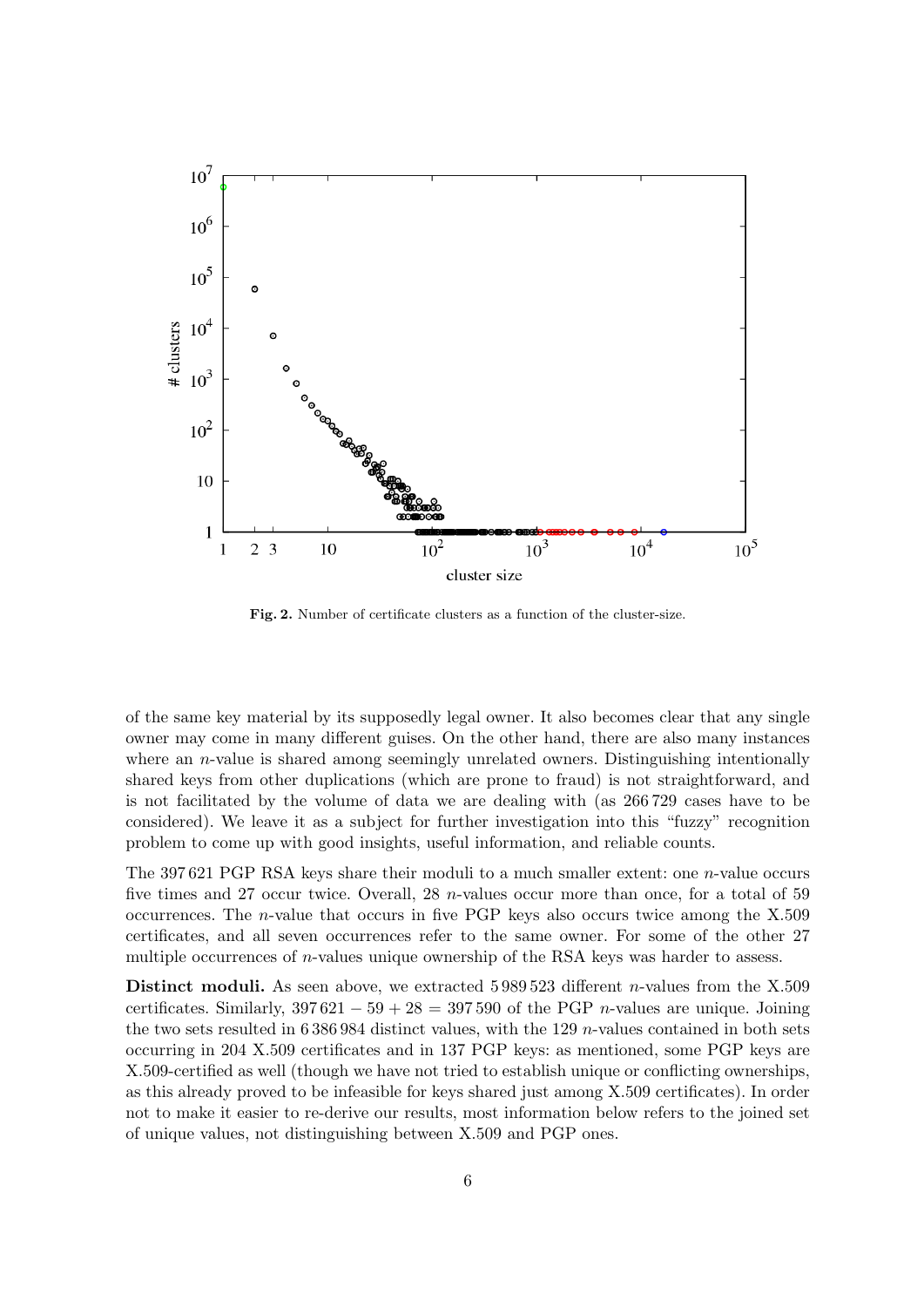

Fig. 2. Number of certificate clusters as a function of the cluster-size.

of the same key material by its supposedly legal owner. It also becomes clear that any single owner may come in many different guises. On the other hand, there are also many instances where an *n*-value is shared among seemingly unrelated owners. Distinguishing intentionally shared keys from other duplications (which are prone to fraud) is not straightforward, and is not facilitated by the volume of data we are dealing with (as 266 729 cases have to be considered). We leave it as a subject for further investigation into this "fuzzy" recognition problem to come up with good insights, useful information, and reliable counts.

The 397 621 PGP RSA keys share their moduli to a much smaller extent: one n-value occurs five times and 27 occur twice. Overall, 28 n-values occur more than once, for a total of 59 occurrences. The n-value that occurs in five PGP keys also occurs twice among the X.509 certificates, and all seven occurrences refer to the same owner. For some of the other 27 multiple occurrences of  $n$ -values unique ownership of the RSA keys was harder to assess.

Distinct moduli. As seen above, we extracted 5 989 523 different *n*-values from the X.509 certificates. Similarly,  $397621 - 59 + 28 = 397590$  of the PGP *n*-values are unique. Joining the two sets resulted in 6 386 984 distinct values, with the 129 n-values contained in both sets occurring in 204 X.509 certificates and in 137 PGP keys: as mentioned, some PGP keys are X.509-certified as well (though we have not tried to establish unique or conflicting ownerships, as this already proved to be infeasible for keys shared just among X.509 certificates). In order not to make it easier to re-derive our results, most information below refers to the joined set of unique values, not distinguishing between X.509 and PGP ones.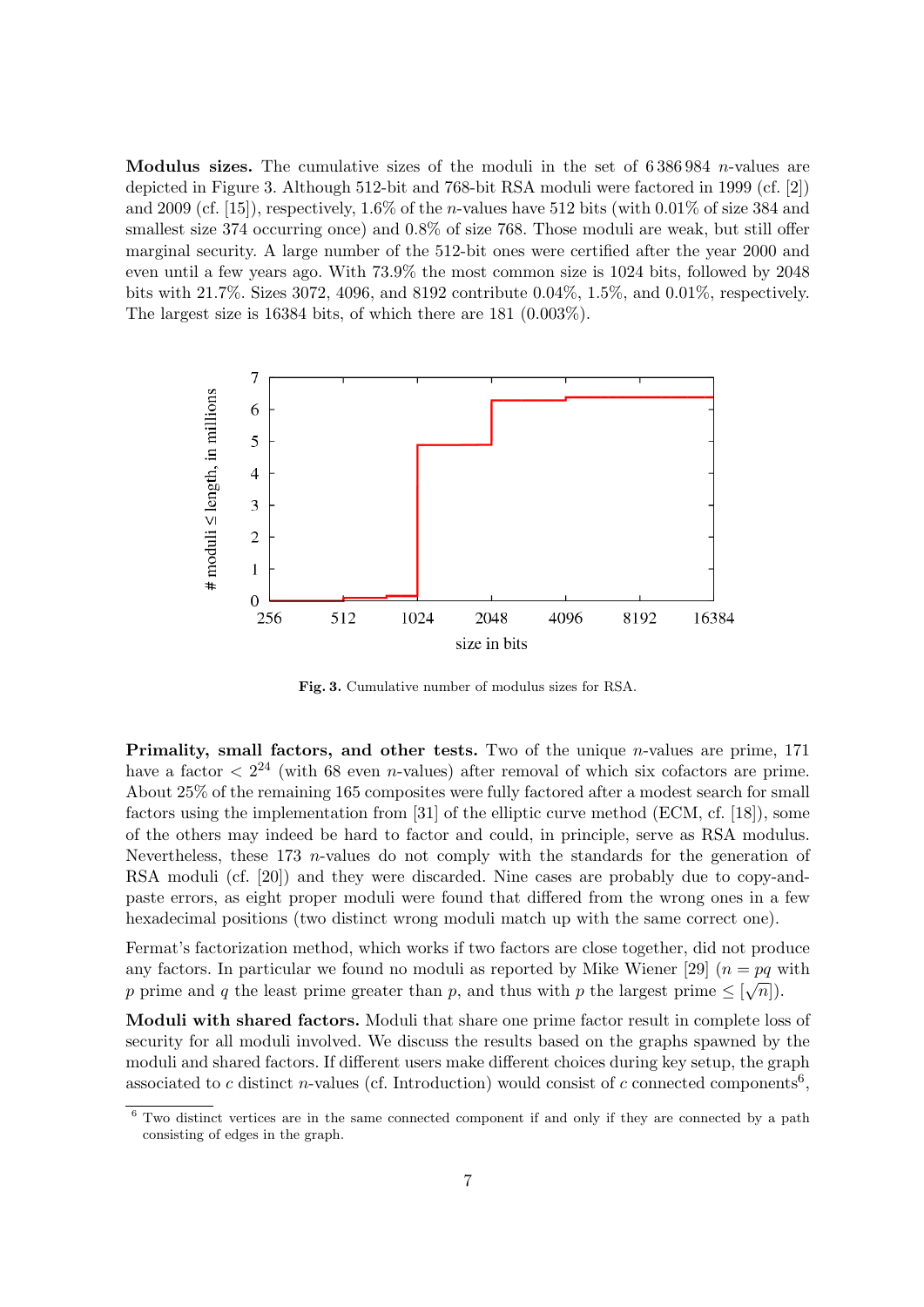Modulus sizes. The cumulative sizes of the moduli in the set of  $6\,386\,984$  n-values are depicted in Figure 3. Although 512-bit and 768-bit RSA moduli were factored in 1999 (cf. [2]) and 2009 (cf. [15]), respectively, 1.6% of the *n*-values have 512 bits (with 0.01% of size 384 and smallest size 374 occurring once) and  $0.8\%$  of size 768. Those moduli are weak, but still offer marginal security. A large number of the 512-bit ones were certified after the year 2000 and even until a few years ago. With 73.9% the most common size is 1024 bits, followed by 2048 bits with 21.7%. Sizes 3072, 4096, and 8192 contribute 0.04%, 1.5%, and 0.01%, respectively. The largest size is 16384 bits, of which there are 181 (0.003%).



Fig. 3. Cumulative number of modulus sizes for RSA.

Primality, small factors, and other tests. Two of the unique *n*-values are prime, 171 have a factor  $\langle 2^{24} \rangle$  (with 68 even *n*-values) after removal of which six cofactors are prime. About 25% of the remaining 165 composites were fully factored after a modest search for small factors using the implementation from [31] of the elliptic curve method (ECM, cf. [18]), some of the others may indeed be hard to factor and could, in principle, serve as RSA modulus. Nevertheless, these  $173$  *n*-values do not comply with the standards for the generation of RSA moduli (cf. [20]) and they were discarded. Nine cases are probably due to copy-andpaste errors, as eight proper moduli were found that differed from the wrong ones in a few hexadecimal positions (two distinct wrong moduli match up with the same correct one).

Fermat's factorization method, which works if two factors are close together, did not produce any factors. In particular we found no moduli as reported by Mike Wiener [29]  $(n = pq \text{ with } q \text{).}$ p prime and q the least prime greater than p, and thus with p the largest prime  $\leq \lfloor \sqrt{n} \rfloor$ .

Moduli with shared factors. Moduli that share one prime factor result in complete loss of security for all moduli involved. We discuss the results based on the graphs spawned by the moduli and shared factors. If different users make different choices during key setup, the graph associated to c distinct n-values (cf. Introduction) would consist of c connected components<sup>6</sup>,

<sup>6</sup> Two distinct vertices are in the same connected component if and only if they are connected by a path consisting of edges in the graph.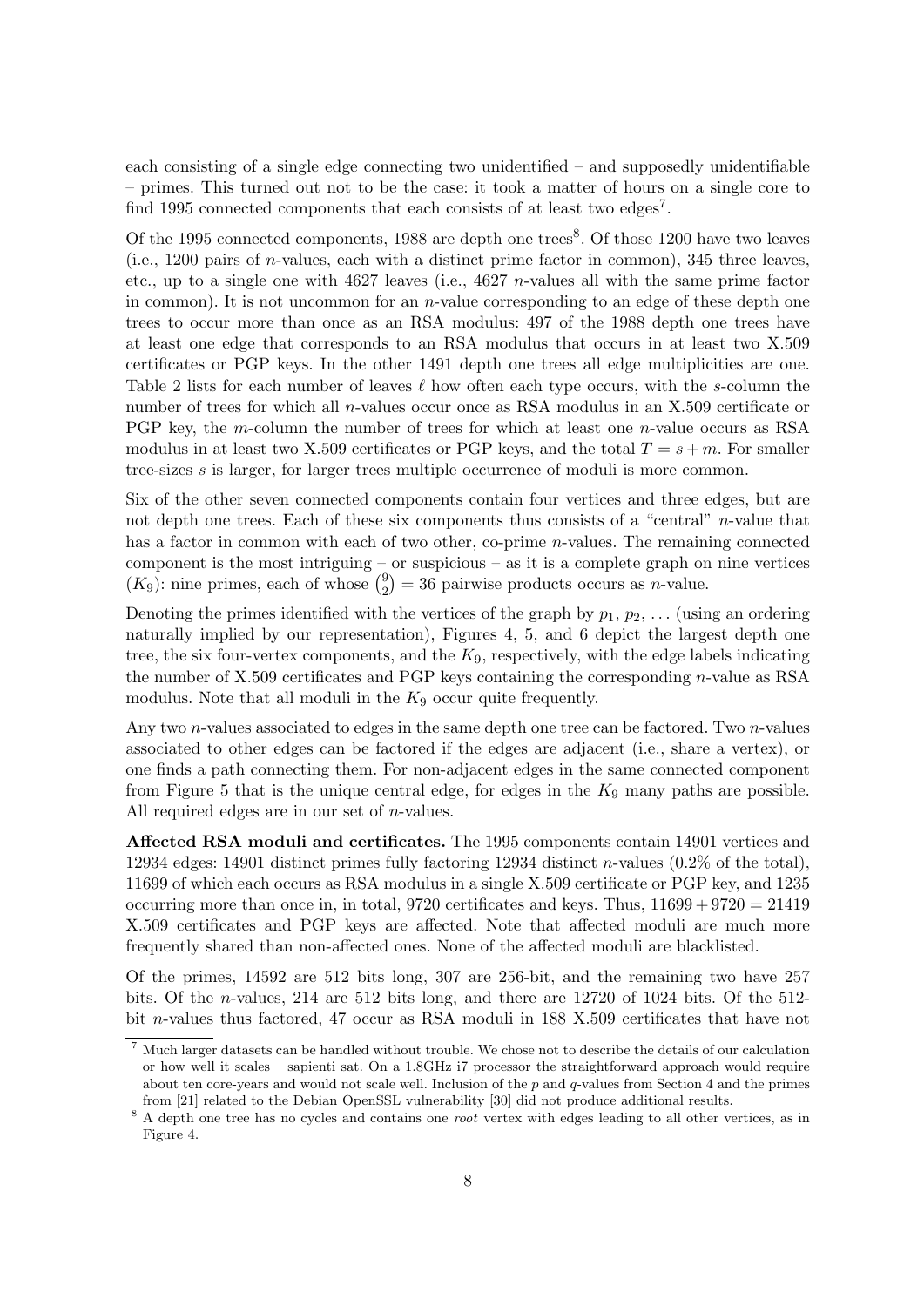each consisting of a single edge connecting two unidentified – and supposedly unidentifiable – primes. This turned out not to be the case: it took a matter of hours on a single core to find 1995 connected components that each consists of at least two edges<sup>7</sup>.

Of the 1995 connected components,  $1988$  are depth one trees<sup>8</sup>. Of those 1200 have two leaves (i.e., 1200 pairs of n-values, each with a distinct prime factor in common), 345 three leaves, etc., up to a single one with  $4627$  leaves (i.e.,  $4627$  *n*-values all with the same prime factor in common). It is not uncommon for an  $n$ -value corresponding to an edge of these depth one trees to occur more than once as an RSA modulus: 497 of the 1988 depth one trees have at least one edge that corresponds to an RSA modulus that occurs in at least two X.509 certificates or PGP keys. In the other 1491 depth one trees all edge multiplicities are one. Table 2 lists for each number of leaves  $\ell$  how often each type occurs, with the s-column the number of trees for which all n-values occur once as RSA modulus in an X.509 certificate or PGP key, the m-column the number of trees for which at least one n-value occurs as RSA modulus in at least two X.509 certificates or PGP keys, and the total  $T = s + m$ . For smaller tree-sizes s is larger, for larger trees multiple occurrence of moduli is more common.

Six of the other seven connected components contain four vertices and three edges, but are not depth one trees. Each of these six components thus consists of a "central" *n*-value that has a factor in common with each of two other, co-prime *n*-values. The remaining connected component is the most intriguing – or suspicious – as it is a complete graph on nine vertices  $(K_9)$ : nine primes, each of whose  $\binom{9}{2}$  $\binom{9}{2} = 36$  pairwise products occurs as *n*-value.

Denoting the primes identified with the vertices of the graph by  $p_1, p_2, \ldots$  (using an ordering naturally implied by our representation), Figures 4, 5, and 6 depict the largest depth one tree, the six four-vertex components, and the  $K_9$ , respectively, with the edge labels indicating the number of  $X.509$  certificates and PGP keys containing the corresponding *n*-value as RSA modulus. Note that all moduli in the  $K_9$  occur quite frequently.

Any two *n*-values associated to edges in the same depth one tree can be factored. Two *n*-values associated to other edges can be factored if the edges are adjacent (i.e., share a vertex), or one finds a path connecting them. For non-adjacent edges in the same connected component from Figure 5 that is the unique central edge, for edges in the  $K_9$  many paths are possible. All required edges are in our set of n-values.

Affected RSA moduli and certificates. The 1995 components contain 14901 vertices and 12934 edges: 14901 distinct primes fully factoring 12934 distinct n-values  $(0.2\%$  of the total), 11699 of which each occurs as RSA modulus in a single X.509 certificate or PGP key, and 1235 occurring more than once in, in total, 9720 certificates and keys. Thus,  $11699 + 9720 = 21419$ X.509 certificates and PGP keys are affected. Note that affected moduli are much more frequently shared than non-affected ones. None of the affected moduli are blacklisted.

Of the primes, 14592 are 512 bits long, 307 are 256-bit, and the remaining two have 257 bits. Of the n-values, 214 are 512 bits long, and there are 12720 of 1024 bits. Of the 512 bit n-values thus factored, 47 occur as RSA moduli in 188 X.509 certificates that have not

<sup>7</sup> Much larger datasets can be handled without trouble. We chose not to describe the details of our calculation or how well it scales – sapienti sat. On a 1.8GHz i7 processor the straightforward approach would require about ten core-years and would not scale well. Inclusion of the p and q-values from Section 4 and the primes from [21] related to the Debian OpenSSL vulnerability [30] did not produce additional results.

<sup>&</sup>lt;sup>8</sup> A depth one tree has no cycles and contains one *root* vertex with edges leading to all other vertices, as in Figure 4.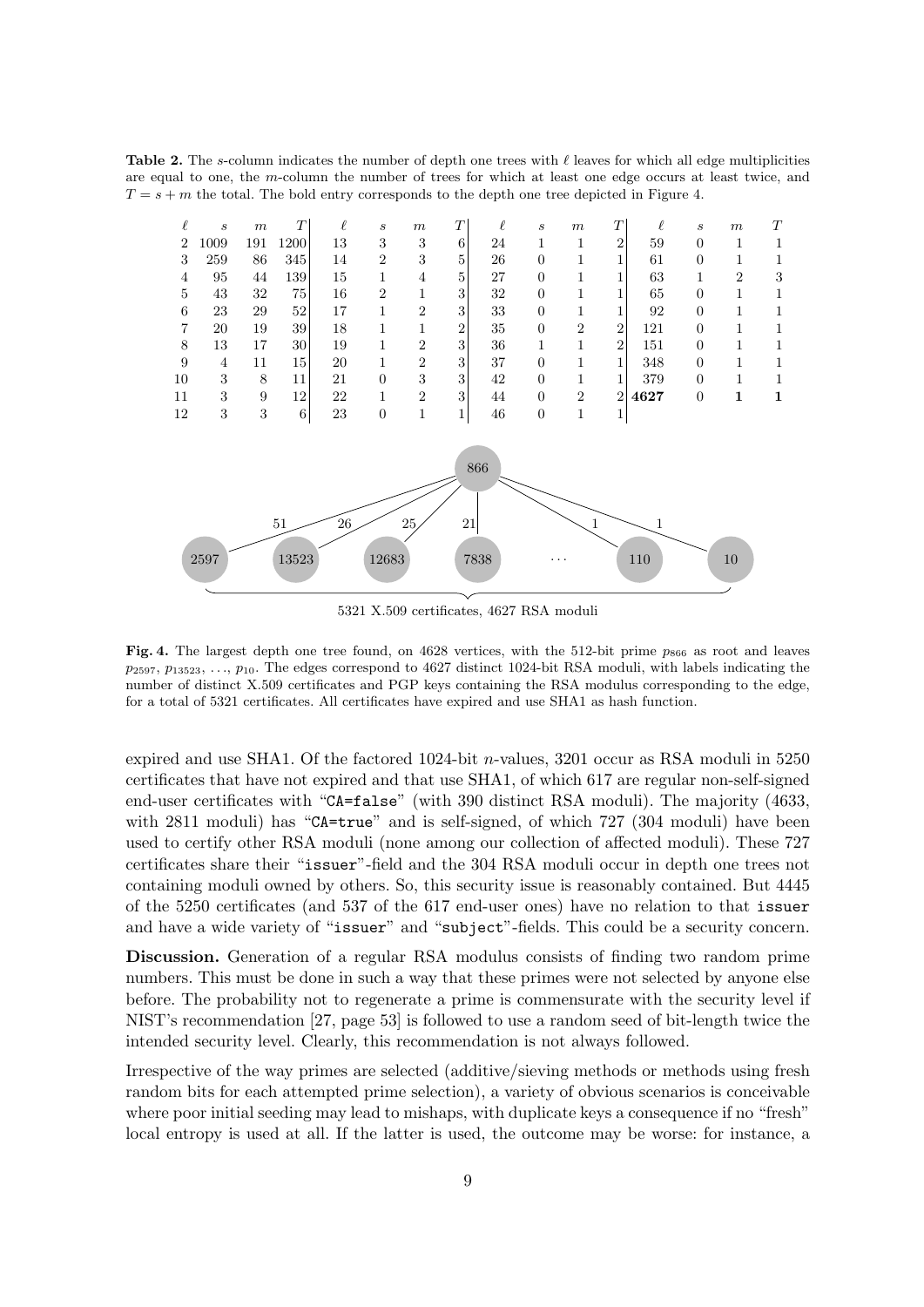Table 2. The s-column indicates the number of depth one trees with  $\ell$  leaves for which all edge multiplicities are equal to one, the m-column the number of trees for which at least one edge occurs at least twice, and  $T = s + m$  the total. The bold entry corresponds to the depth one tree depicted in Figure 4.



5321 X.509 certificates, 4627 RSA moduli

Fig. 4. The largest depth one tree found, on 4628 vertices, with the 512-bit prime  $p_{866}$  as root and leaves  $p_{2597}, p_{13523}, \ldots, p_{10}$ . The edges correspond to 4627 distinct 1024-bit RSA moduli, with labels indicating the number of distinct X.509 certificates and PGP keys containing the RSA modulus corresponding to the edge, for a total of 5321 certificates. All certificates have expired and use SHA1 as hash function.

expired and use SHA1. Of the factored 1024-bit n-values, 3201 occur as RSA moduli in 5250 certificates that have not expired and that use SHA1, of which 617 are regular non-self-signed end-user certificates with "CA=false" (with 390 distinct RSA moduli). The majority (4633, with 2811 moduli) has "CA=true" and is self-signed, of which 727 (304 moduli) have been used to certify other RSA moduli (none among our collection of affected moduli). These 727 certificates share their "issuer"-field and the 304 RSA moduli occur in depth one trees not containing moduli owned by others. So, this security issue is reasonably contained. But 4445 of the 5250 certificates (and 537 of the 617 end-user ones) have no relation to that issuer and have a wide variety of "issuer" and "subject"-fields. This could be a security concern.

Discussion. Generation of a regular RSA modulus consists of finding two random prime numbers. This must be done in such a way that these primes were not selected by anyone else before. The probability not to regenerate a prime is commensurate with the security level if NIST's recommendation [27, page 53] is followed to use a random seed of bit-length twice the intended security level. Clearly, this recommendation is not always followed.

Irrespective of the way primes are selected (additive/sieving methods or methods using fresh random bits for each attempted prime selection), a variety of obvious scenarios is conceivable where poor initial seeding may lead to mishaps, with duplicate keys a consequence if no "fresh" local entropy is used at all. If the latter is used, the outcome may be worse: for instance, a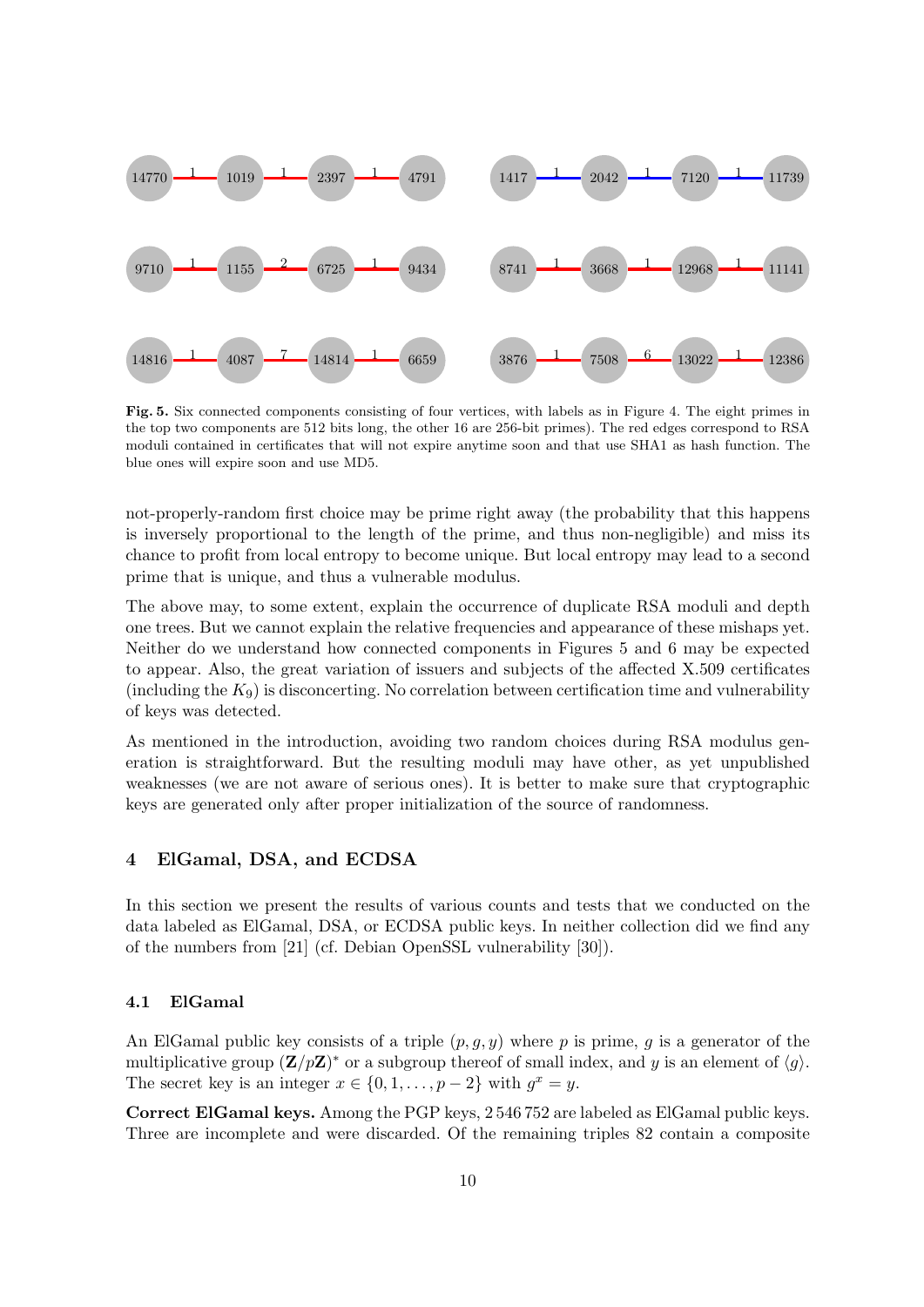

Fig. 5. Six connected components consisting of four vertices, with labels as in Figure 4. The eight primes in the top two components are 512 bits long, the other 16 are 256-bit primes). The red edges correspond to RSA moduli contained in certificates that will not expire anytime soon and that use SHA1 as hash function. The blue ones will expire soon and use MD5.

not-properly-random first choice may be prime right away (the probability that this happens is inversely proportional to the length of the prime, and thus non-negligible) and miss its chance to profit from local entropy to become unique. But local entropy may lead to a second prime that is unique, and thus a vulnerable modulus.

The above may, to some extent, explain the occurrence of duplicate RSA moduli and depth one trees. But we cannot explain the relative frequencies and appearance of these mishaps yet. Neither do we understand how connected components in Figures 5 and 6 may be expected to appear. Also, the great variation of issuers and subjects of the affected X.509 certificates (including the  $K_9$ ) is disconcerting. No correlation between certification time and vulnerability of keys was detected.

As mentioned in the introduction, avoiding two random choices during RSA modulus generation is straightforward. But the resulting moduli may have other, as yet unpublished weaknesses (we are not aware of serious ones). It is better to make sure that cryptographic keys are generated only after proper initialization of the source of randomness.

# 4 ElGamal, DSA, and ECDSA

In this section we present the results of various counts and tests that we conducted on the data labeled as ElGamal, DSA, or ECDSA public keys. In neither collection did we find any of the numbers from [21] (cf. Debian OpenSSL vulnerability [30]).

#### 4.1 ElGamal

An ElGamal public key consists of a triple  $(p, g, y)$  where p is prime, g is a generator of the multiplicative group  $(\mathbf{Z}/p\mathbf{Z})^*$  or a subgroup thereof of small index, and y is an element of  $\langle g \rangle$ . The secret key is an integer  $x \in \{0, 1, \ldots, p-2\}$  with  $g^x = y$ .

Correct ElGamal keys. Among the PGP keys, 2 546 752 are labeled as ElGamal public keys. Three are incomplete and were discarded. Of the remaining triples 82 contain a composite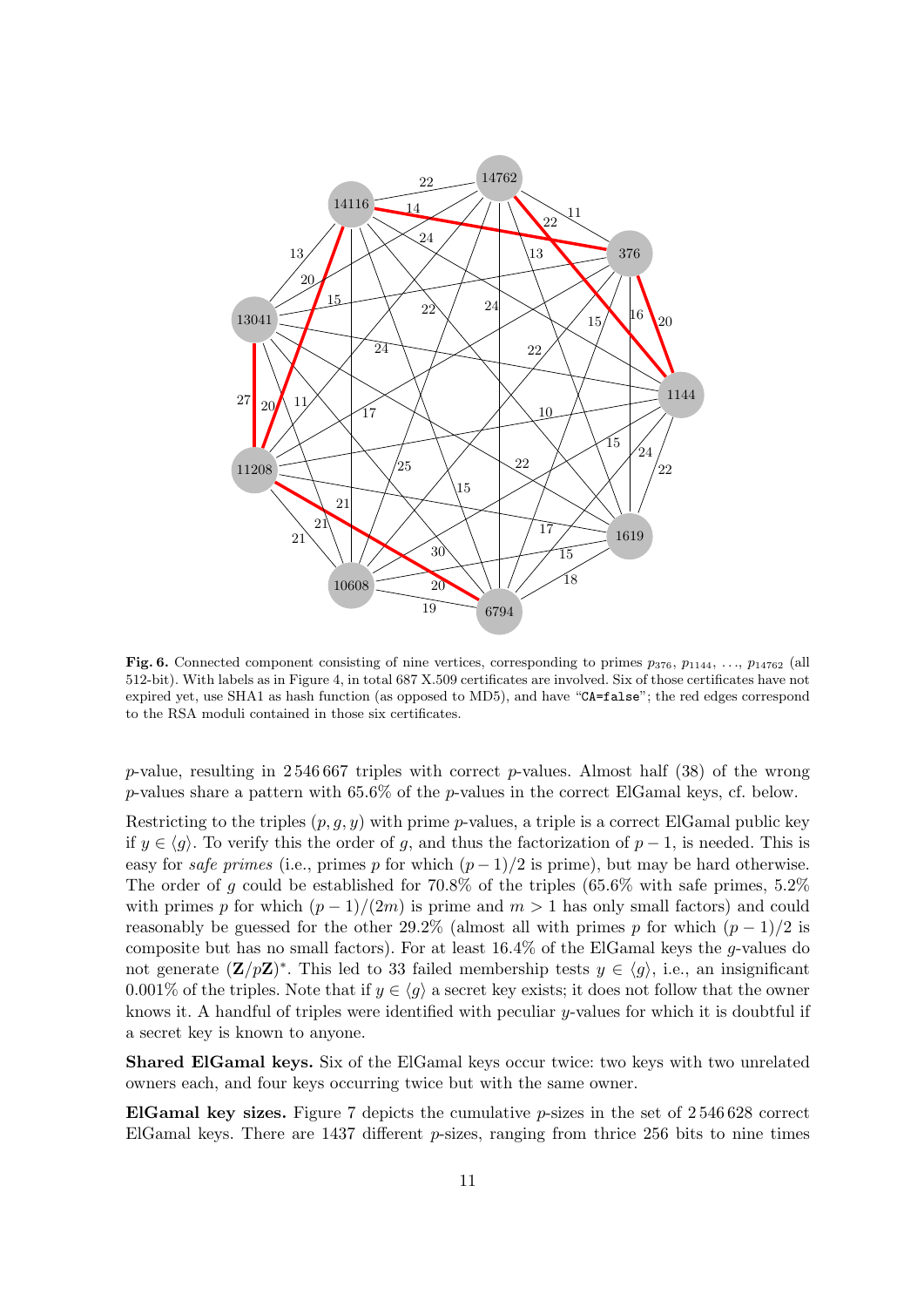

Fig. 6. Connected component consisting of nine vertices, corresponding to primes  $p_{376}$ ,  $p_{1144}$ , ...,  $p_{14762}$  (all 512-bit). With labels as in Figure 4, in total 687 X.509 certificates are involved. Six of those certificates have not expired yet, use SHA1 as hash function (as opposed to MD5), and have "CA=false"; the red edges correspond to the RSA moduli contained in those six certificates.

p-value, resulting in 2546 667 triples with correct p-values. Almost half (38) of the wrong p-values share a pattern with  $65.6\%$  of the p-values in the correct ElGamal keys, cf. below.

Restricting to the triples  $(p, g, y)$  with prime p-values, a triple is a correct ElGamal public key if  $y \in \langle q \rangle$ . To verify this the order of g, and thus the factorization of  $p-1$ , is needed. This is easy for safe primes (i.e., primes p for which  $(p-1)/2$  is prime), but may be hard otherwise. The order of g could be established for 70.8% of the triples (65.6% with safe primes, 5.2% with primes p for which  $(p-1)/(2m)$  is prime and  $m > 1$  has only small factors) and could reasonably be guessed for the other 29.2% (almost all with primes p for which  $(p-1)/2$  is composite but has no small factors). For at least  $16.4\%$  of the ElGamal keys the *q*-values do not generate  $(\mathbf{Z}/p\mathbf{Z})^*$ . This led to 33 failed membership tests  $y \in \langle g \rangle$ , i.e., an insignificant 0.001% of the triples. Note that if  $y \in \langle g \rangle$  a secret key exists; it does not follow that the owner knows it. A handful of triples were identified with peculiar y-values for which it is doubtful if a secret key is known to anyone.

Shared ElGamal keys. Six of the ElGamal keys occur twice: two keys with two unrelated owners each, and four keys occurring twice but with the same owner.

ElGamal key sizes. Figure 7 depicts the cumulative  $p$ -sizes in the set of  $2\,546\,628$  correct ElGamal keys. There are different p-sizes, ranging from thrice 256 bits to nine times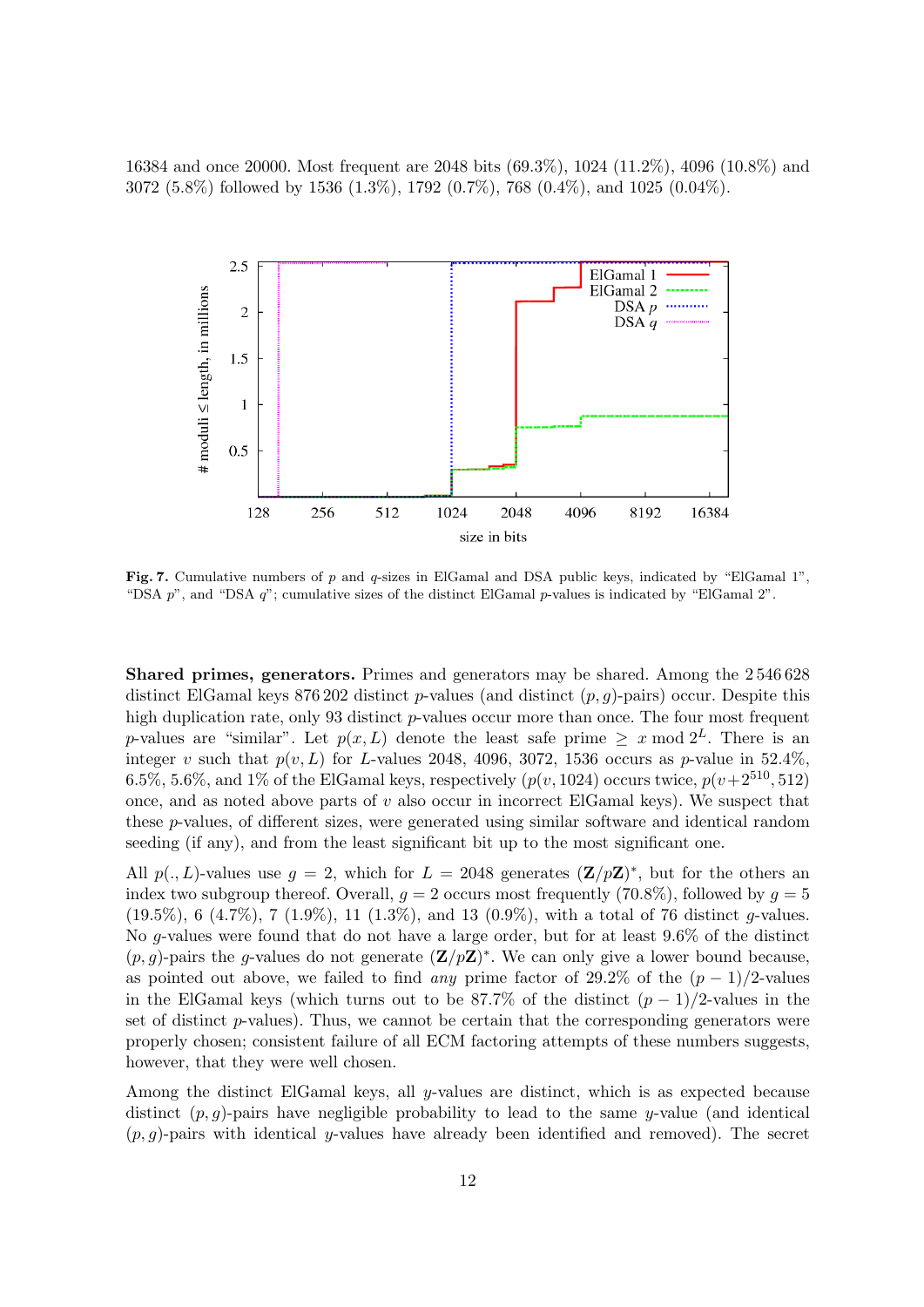16384 and once 20000. Most frequent are 2048 bits (69.3%), 1024 (11.2%), 4096 (10.8%) and 3072 (5.8%) followed by 1536 (1.3%), 1792 (0.7%), 768 (0.4%), and 1025 (0.04%).



Fig. 7. Cumulative numbers of p and q-sizes in ElGamal and DSA public keys, indicated by "ElGamal 1", "DSA p", and "DSA q"; cumulative sizes of the distinct ElGamal p-values is indicated by "ElGamal 2".

Shared primes, generators. Primes and generators may be shared. Among the 2 546 628 distinct ElGamal keys 876 202 distinct p-values (and distinct  $(p, g)$ -pairs) occur. Despite this high duplication rate, only 93 distinct p-values occur more than once. The four most frequent p-values are "similar". Let  $p(x, L)$  denote the least safe prime  $\geq x \mod 2^L$ . There is an integer v such that  $p(v, L)$  for L-values 2048, 4096, 3072, 1536 occurs as p-value in 52.4%, 6.5%, 5.6%, and 1% of the ElGamal keys, respectively  $(p(v, 1024)$  occurs twice,  $p(v+2^{510}, 512)$ once, and as noted above parts of  $v$  also occur in incorrect ElGamal keys). We suspect that these p-values, of different sizes, were generated using similar software and identical random seeding (if any), and from the least significant bit up to the most significant one.

All  $p(., L)$ -values use  $g = 2$ , which for  $L = 2048$  generates  $(\mathbf{Z}/p\mathbf{Z})^*$ , but for the others an index two subgroup thereof. Overall,  $q = 2$  occurs most frequently (70.8%), followed by  $q = 5$  $(19.5\%, 6 \ (4.7\%), 7 \ (1.9\%), 11 \ (1.3\%), and 13 \ (0.9\%), with a total of 76 distinct *q*-values.$ No g-values were found that do not have a large order, but for at least 9.6% of the distinct  $(p, g)$ -pairs the g-values do not generate  $(\mathbf{Z}/p\mathbf{Z})^*$ . We can only give a lower bound because, as pointed out above, we failed to find any prime factor of 29.2% of the  $(p-1)/2$ -values in the ElGamal keys (which turns out to be 87.7% of the distinct  $(p-1)/2$ -values in the set of distinct  $p$ -values). Thus, we cannot be certain that the corresponding generators were properly chosen; consistent failure of all ECM factoring attempts of these numbers suggests, however, that they were well chosen.

Among the distinct ElGamal keys, all y-values are distinct, which is as expected because distinct  $(p, g)$ -pairs have negligible probability to lead to the same y-value (and identical  $(p, q)$ -pairs with identical y-values have already been identified and removed). The secret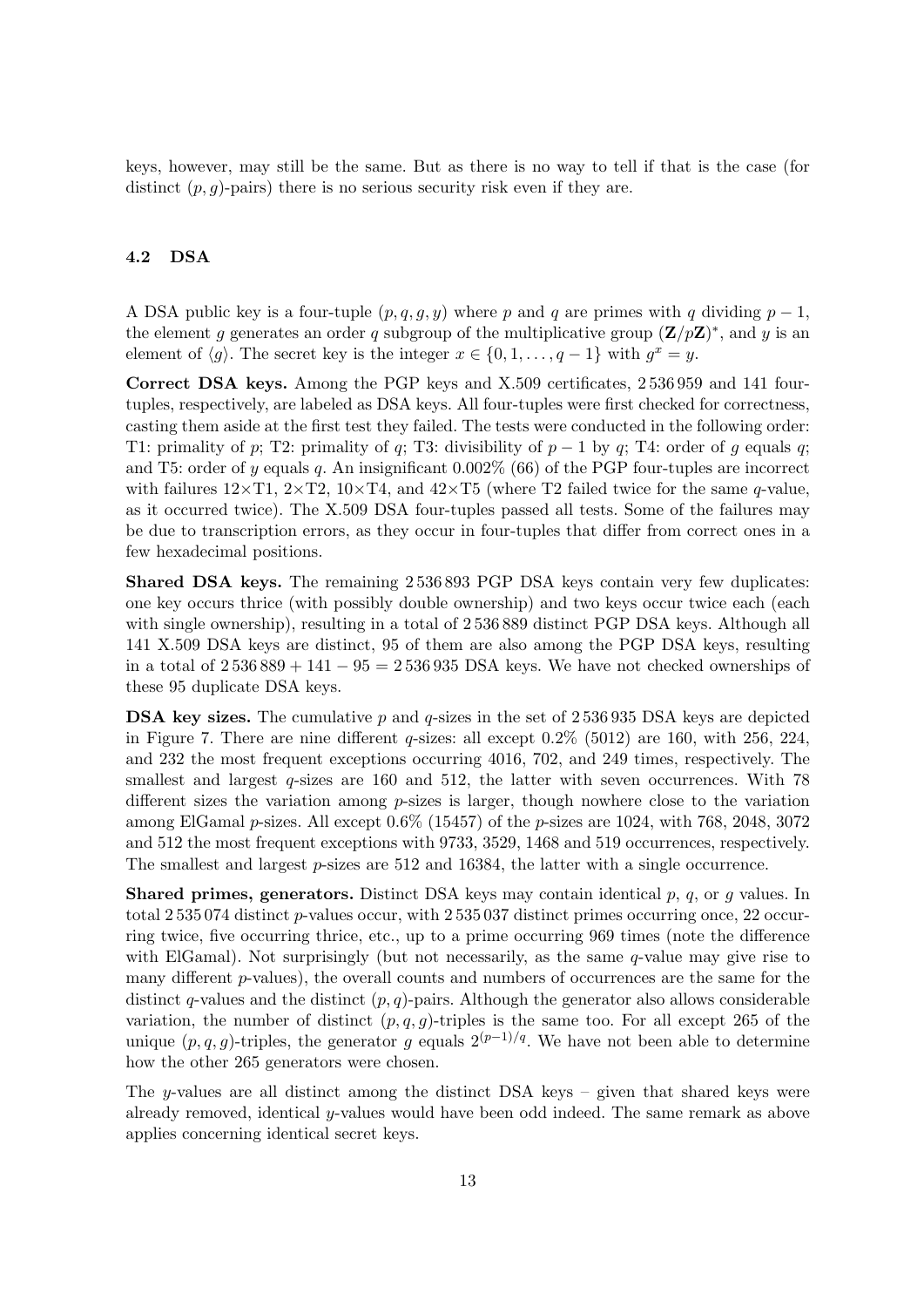keys, however, may still be the same. But as there is no way to tell if that is the case (for distinct  $(p, g)$ -pairs) there is no serious security risk even if they are.

# 4.2 DSA

A DSA public key is a four-tuple  $(p, q, g, y)$  where p and q are primes with q dividing  $p - 1$ , the element g generates an order q subgroup of the multiplicative group  $(\mathbf{Z}/p\mathbf{Z})^*$ , and y is an element of  $\langle g \rangle$ . The secret key is the integer  $x \in \{0, 1, \ldots, q - 1\}$  with  $g^x = y$ .

Correct DSA keys. Among the PGP keys and X.509 certificates, 2 536 959 and 141 fourtuples, respectively, are labeled as DSA keys. All four-tuples were first checked for correctness, casting them aside at the first test they failed. The tests were conducted in the following order: T1: primality of p; T2: primality of q; T3: divisibility of  $p-1$  by q; T4: order of g equals q; and T5: order of y equals q. An insignificant  $0.002\%$  (66) of the PGP four-tuples are incorrect with failures  $12\times$ T1,  $2\times$ T2,  $10\times$ T4, and  $42\times$ T5 (where T2 failed twice for the same q-value, as it occurred twice). The X.509 DSA four-tuples passed all tests. Some of the failures may be due to transcription errors, as they occur in four-tuples that differ from correct ones in a few hexadecimal positions.

Shared DSA keys. The remaining 2 536 893 PGP DSA keys contain very few duplicates: one key occurs thrice (with possibly double ownership) and two keys occur twice each (each with single ownership), resulting in a total of  $2536889$  distinct PGP DSA keys. Although all 141 X.509 DSA keys are distinct, 95 of them are also among the PGP DSA keys, resulting in a total of  $2536889 + 141 - 95 = 2536935$  DSA keys. We have not checked ownerships of these 95 duplicate DSA keys.

**DSA key sizes.** The cumulative p and q-sizes in the set of  $2\,536\,935$  DSA keys are depicted in Figure 7. There are nine different q-sizes: all except  $0.2\%$  (5012) are 160, with 256, 224, and 232 the most frequent exceptions occurring 4016, 702, and 249 times, respectively. The smallest and largest  $q$ -sizes are 160 and 512, the latter with seven occurrences. With 78 different sizes the variation among  $p$ -sizes is larger, though nowhere close to the variation among ElGamal  $p$ -sizes. All except  $0.6\%$  (15457) of the  $p$ -sizes are 1024, with 768, 2048, 3072 and 512 the most frequent exceptions with 9733, 3529, 1468 and 519 occurrences, respectively. The smallest and largest p-sizes are 512 and 16384, the latter with a single occurrence.

**Shared primes, generators.** Distinct DSA keys may contain identical  $p$ ,  $q$ , or  $q$  values. In total 2 535 074 distinct p-values occur, with 2 535 037 distinct primes occurring once, 22 occurring twice, five occurring thrice, etc., up to a prime occurring 969 times (note the difference with ElGamal). Not surprisingly (but not necessarily, as the same q-value may give rise to many different  $p$ -values), the overall counts and numbers of occurrences are the same for the distinct q-values and the distinct  $(p, q)$ -pairs. Although the generator also allows considerable variation, the number of distinct  $(p, q, g)$ -triples is the same too. For all except 265 of the unique  $(p, q, g)$ -triples, the generator g equals  $2^{(p-1)/q}$ . We have not been able to determine how the other 265 generators were chosen.

The y-values are all distinct among the distinct DSA keys – given that shared keys were already removed, identical y-values would have been odd indeed. The same remark as above applies concerning identical secret keys.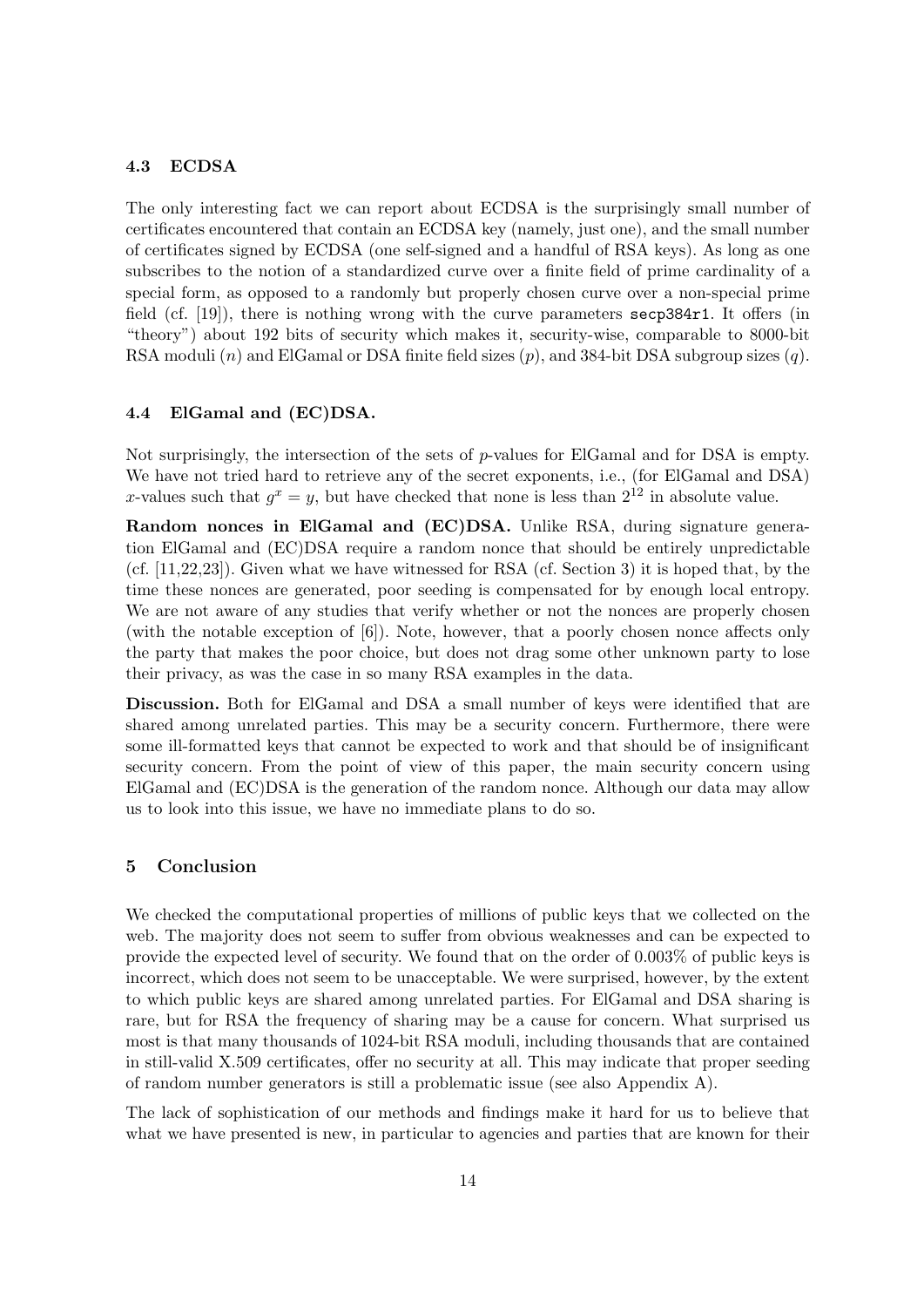## 4.3 ECDSA

The only interesting fact we can report about ECDSA is the surprisingly small number of certificates encountered that contain an ECDSA key (namely, just one), and the small number of certificates signed by ECDSA (one self-signed and a handful of RSA keys). As long as one subscribes to the notion of a standardized curve over a finite field of prime cardinality of a special form, as opposed to a randomly but properly chosen curve over a non-special prime field (cf. [19]), there is nothing wrong with the curve parameters secp384r1. It offers (in "theory") about 192 bits of security which makes it, security-wise, comparable to 8000-bit RSA moduli  $(n)$  and ElGamal or DSA finite field sizes  $(p)$ , and 384-bit DSA subgroup sizes  $(q)$ .

#### 4.4 ElGamal and (EC)DSA.

Not surprisingly, the intersection of the sets of  $p$ -values for ElGamal and for DSA is empty. We have not tried hard to retrieve any of the secret exponents, i.e., (for ElGamal and DSA) x-values such that  $g^x = y$ , but have checked that none is less than  $2^{12}$  in absolute value.

Random nonces in ElGamal and (EC)DSA. Unlike RSA, during signature generation ElGamal and (EC)DSA require a random nonce that should be entirely unpredictable (cf. [11,22,23]). Given what we have witnessed for RSA (cf. Section 3) it is hoped that, by the time these nonces are generated, poor seeding is compensated for by enough local entropy. We are not aware of any studies that verify whether or not the nonces are properly chosen (with the notable exception of [6]). Note, however, that a poorly chosen nonce affects only the party that makes the poor choice, but does not drag some other unknown party to lose their privacy, as was the case in so many RSA examples in the data.

Discussion. Both for ElGamal and DSA a small number of keys were identified that are shared among unrelated parties. This may be a security concern. Furthermore, there were some ill-formatted keys that cannot be expected to work and that should be of insignificant security concern. From the point of view of this paper, the main security concern using ElGamal and (EC)DSA is the generation of the random nonce. Although our data may allow us to look into this issue, we have no immediate plans to do so.

## 5 Conclusion

We checked the computational properties of millions of public keys that we collected on the web. The majority does not seem to suffer from obvious weaknesses and can be expected to provide the expected level of security. We found that on the order of 0.003% of public keys is incorrect, which does not seem to be unacceptable. We were surprised, however, by the extent to which public keys are shared among unrelated parties. For ElGamal and DSA sharing is rare, but for RSA the frequency of sharing may be a cause for concern. What surprised us most is that many thousands of 1024-bit RSA moduli, including thousands that are contained in still-valid X.509 certificates, offer no security at all. This may indicate that proper seeding of random number generators is still a problematic issue (see also Appendix A).

The lack of sophistication of our methods and findings make it hard for us to believe that what we have presented is new, in particular to agencies and parties that are known for their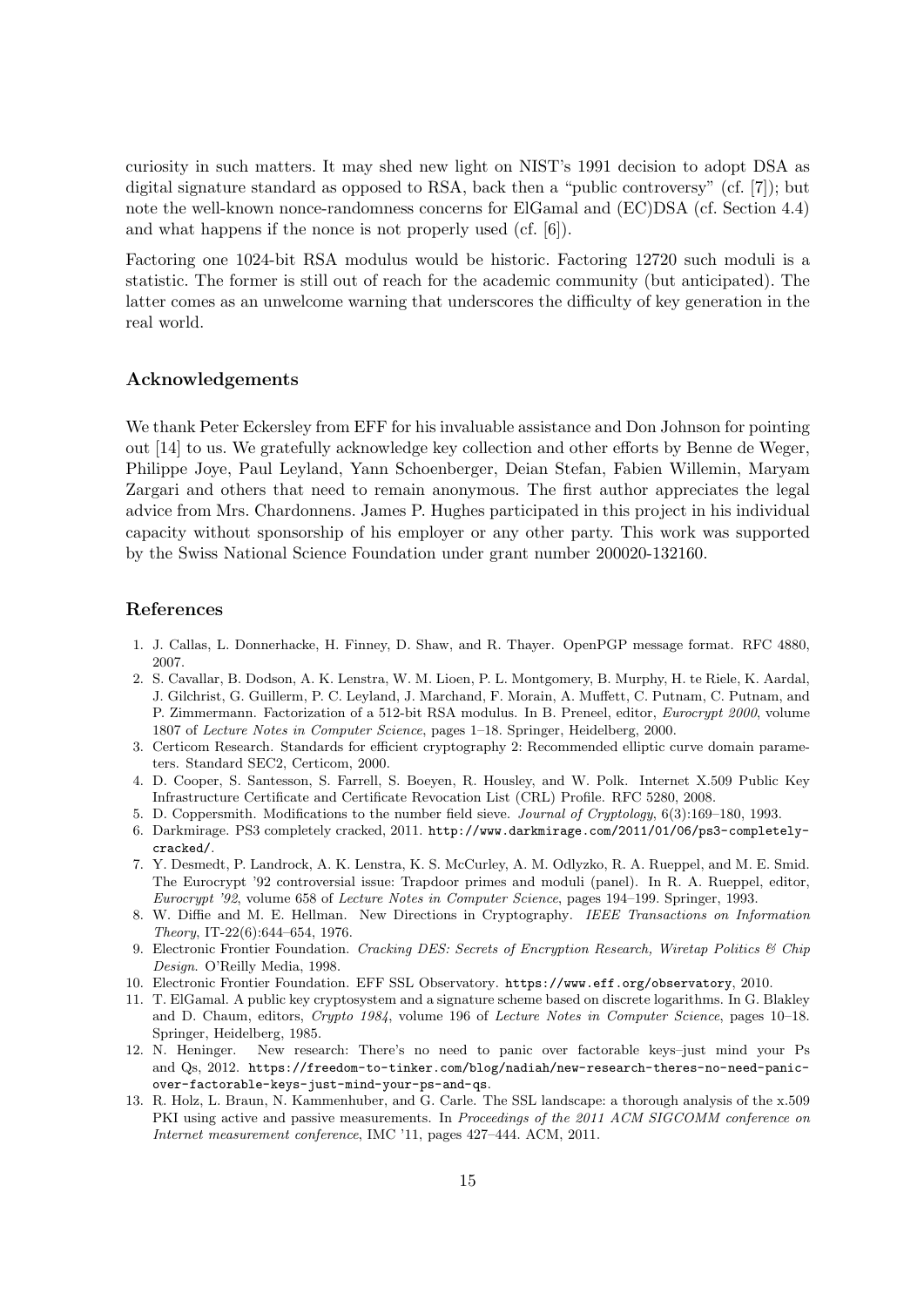curiosity in such matters. It may shed new light on NIST's 1991 decision to adopt DSA as digital signature standard as opposed to RSA, back then a "public controversy" (cf. [7]); but note the well-known nonce-randomness concerns for ElGamal and (EC)DSA (cf. Section 4.4) and what happens if the nonce is not properly used (cf. [6]).

Factoring one 1024-bit RSA modulus would be historic. Factoring 12720 such moduli is a statistic. The former is still out of reach for the academic community (but anticipated). The latter comes as an unwelcome warning that underscores the difficulty of key generation in the real world.

#### Acknowledgements

We thank Peter Eckersley from EFF for his invaluable assistance and Don Johnson for pointing out [14] to us. We gratefully acknowledge key collection and other efforts by Benne de Weger, Philippe Joye, Paul Leyland, Yann Schoenberger, Deian Stefan, Fabien Willemin, Maryam Zargari and others that need to remain anonymous. The first author appreciates the legal advice from Mrs. Chardonnens. James P. Hughes participated in this project in his individual capacity without sponsorship of his employer or any other party. This work was supported by the Swiss National Science Foundation under grant number 200020-132160.

#### References

- 1. J. Callas, L. Donnerhacke, H. Finney, D. Shaw, and R. Thayer. OpenPGP message format. RFC 4880, 2007.
- 2. S. Cavallar, B. Dodson, A. K. Lenstra, W. M. Lioen, P. L. Montgomery, B. Murphy, H. te Riele, K. Aardal, J. Gilchrist, G. Guillerm, P. C. Leyland, J. Marchand, F. Morain, A. Muffett, C. Putnam, C. Putnam, and P. Zimmermann. Factorization of a 512-bit RSA modulus. In B. Preneel, editor, Eurocrypt 2000, volume 1807 of Lecture Notes in Computer Science, pages 1–18. Springer, Heidelberg, 2000.
- 3. Certicom Research. Standards for efficient cryptography 2: Recommended elliptic curve domain parameters. Standard SEC2, Certicom, 2000.
- 4. D. Cooper, S. Santesson, S. Farrell, S. Boeyen, R. Housley, and W. Polk. Internet X.509 Public Key Infrastructure Certificate and Certificate Revocation List (CRL) Profile. RFC 5280, 2008.
- 5. D. Coppersmith. Modifications to the number field sieve. Journal of Cryptology, 6(3):169–180, 1993.
- 6. Darkmirage. PS3 completely cracked, 2011. http://www.darkmirage.com/2011/01/06/ps3-completelycracked/.
- 7. Y. Desmedt, P. Landrock, A. K. Lenstra, K. S. McCurley, A. M. Odlyzko, R. A. Rueppel, and M. E. Smid. The Eurocrypt '92 controversial issue: Trapdoor primes and moduli (panel). In R. A. Rueppel, editor, Eurocrypt '92, volume 658 of Lecture Notes in Computer Science, pages 194–199. Springer, 1993.
- 8. W. Diffie and M. E. Hellman. New Directions in Cryptography. IEEE Transactions on Information Theory, IT-22(6):644–654, 1976.
- 9. Electronic Frontier Foundation. Cracking DES: Secrets of Encryption Research, Wiretap Politics & Chip Design. O'Reilly Media, 1998.
- 10. Electronic Frontier Foundation. EFF SSL Observatory. https://www.eff.org/observatory, 2010.
- 11. T. ElGamal. A public key cryptosystem and a signature scheme based on discrete logarithms. In G. Blakley and D. Chaum, editors, Crypto 1984, volume 196 of Lecture Notes in Computer Science, pages 10–18. Springer, Heidelberg, 1985.
- 12. N. Heninger. New research: There's no need to panic over factorable keys–just mind your Ps and Qs, 2012. https://freedom-to-tinker.com/blog/nadiah/new-research-theres-no-need-panicover-factorable-keys-just-mind-your-ps-and-qs.
- 13. R. Holz, L. Braun, N. Kammenhuber, and G. Carle. The SSL landscape: a thorough analysis of the x.509 PKI using active and passive measurements. In Proceedings of the 2011 ACM SIGCOMM conference on Internet measurement conference, IMC '11, pages 427–444. ACM, 2011.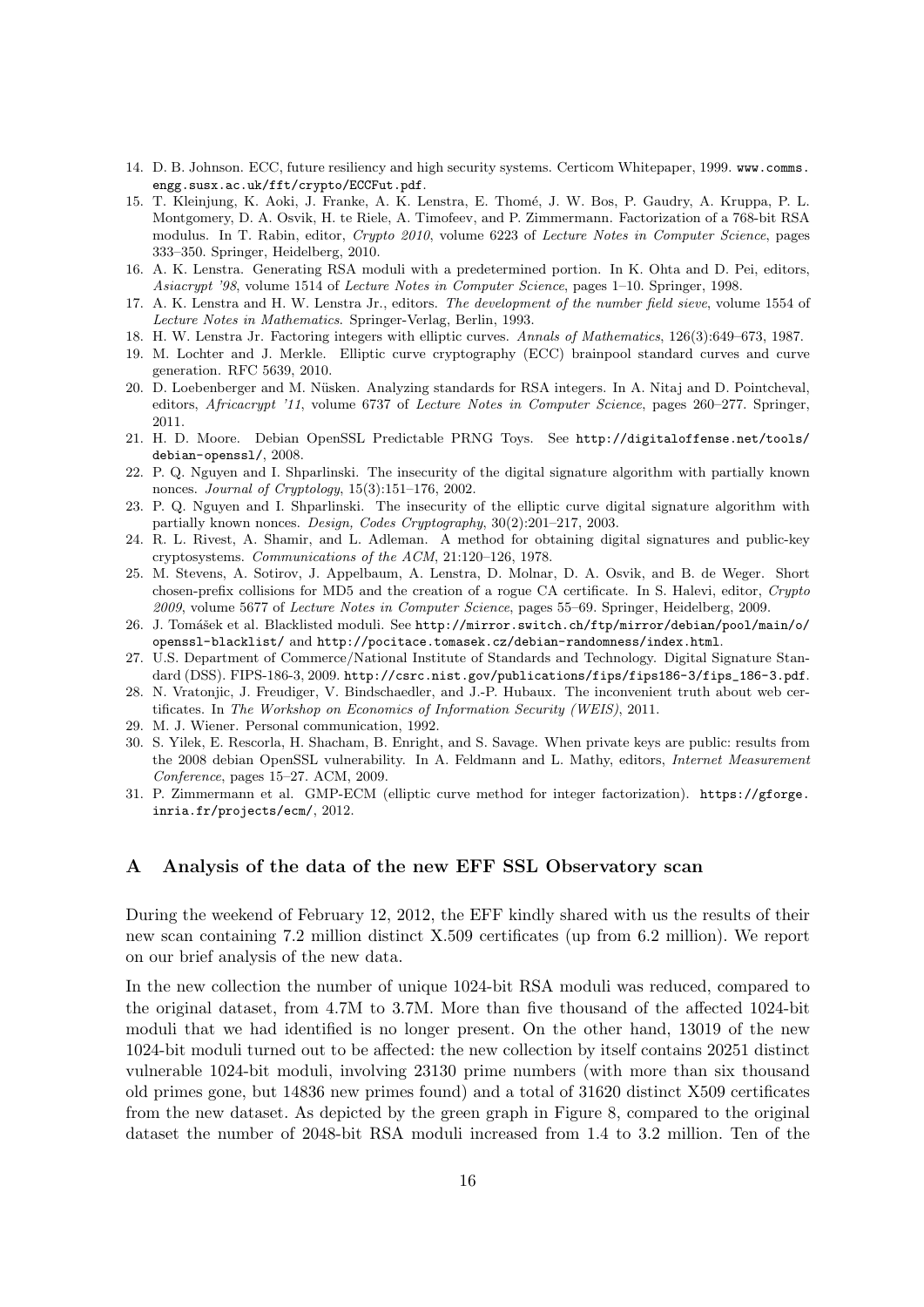- 14. D. B. Johnson. ECC, future resiliency and high security systems. Certicom Whitepaper, 1999. www.comms. engg.susx.ac.uk/fft/crypto/ECCFut.pdf.
- 15. T. Kleinjung, K. Aoki, J. Franke, A. K. Lenstra, E. Thomé, J. W. Bos, P. Gaudry, A. Kruppa, P. L. Montgomery, D. A. Osvik, H. te Riele, A. Timofeev, and P. Zimmermann. Factorization of a 768-bit RSA modulus. In T. Rabin, editor, Crypto 2010, volume 6223 of Lecture Notes in Computer Science, pages 333–350. Springer, Heidelberg, 2010.
- 16. A. K. Lenstra. Generating RSA moduli with a predetermined portion. In K. Ohta and D. Pei, editors, Asiacrypt '98, volume 1514 of Lecture Notes in Computer Science, pages 1–10. Springer, 1998.
- 17. A. K. Lenstra and H. W. Lenstra Jr., editors. The development of the number field sieve, volume 1554 of Lecture Notes in Mathematics. Springer-Verlag, Berlin, 1993.
- 18. H. W. Lenstra Jr. Factoring integers with elliptic curves. Annals of Mathematics, 126(3):649–673, 1987.
- 19. M. Lochter and J. Merkle. Elliptic curve cryptography (ECC) brainpool standard curves and curve generation. RFC 5639, 2010.
- 20. D. Loebenberger and M. N¨usken. Analyzing standards for RSA integers. In A. Nitaj and D. Pointcheval, editors, *Africacrypt '11*, volume 6737 of Lecture Notes in Computer Science, pages 260–277. Springer, 2011.
- 21. H. D. Moore. Debian OpenSSL Predictable PRNG Toys. See http://digitaloffense.net/tools/ debian-openssl/, 2008.
- 22. P. Q. Nguyen and I. Shparlinski. The insecurity of the digital signature algorithm with partially known nonces. Journal of Cryptology, 15(3):151–176, 2002.
- 23. P. Q. Nguyen and I. Shparlinski. The insecurity of the elliptic curve digital signature algorithm with partially known nonces. Design, Codes Cryptography, 30(2):201–217, 2003.
- 24. R. L. Rivest, A. Shamir, and L. Adleman. A method for obtaining digital signatures and public-key cryptosystems. Communications of the ACM, 21:120–126, 1978.
- 25. M. Stevens, A. Sotirov, J. Appelbaum, A. Lenstra, D. Molnar, D. A. Osvik, and B. de Weger. Short chosen-prefix collisions for MD5 and the creation of a rogue CA certificate. In S. Halevi, editor, Crypto 2009, volume 5677 of Lecture Notes in Computer Science, pages 55–69. Springer, Heidelberg, 2009.
- 26. J. Tomášek et al. Blacklisted moduli. See http://mirror.switch.ch/ftp/mirror/debian/pool/main/o/ openssl-blacklist/ and http://pocitace.tomasek.cz/debian-randomness/index.html.
- 27. U.S. Department of Commerce/National Institute of Standards and Technology. Digital Signature Standard (DSS). FIPS-186-3, 2009. http://csrc.nist.gov/publications/fips/fips186-3/fips 186-3.pdf.
- 28. N. Vratonjic, J. Freudiger, V. Bindschaedler, and J.-P. Hubaux. The inconvenient truth about web certificates. In The Workshop on Economics of Information Security (WEIS), 2011.
- 29. M. J. Wiener. Personal communication, 1992.
- 30. S. Yilek, E. Rescorla, H. Shacham, B. Enright, and S. Savage. When private keys are public: results from the 2008 debian OpenSSL vulnerability. In A. Feldmann and L. Mathy, editors, Internet Measurement Conference, pages 15–27. ACM, 2009.
- 31. P. Zimmermann et al. GMP-ECM (elliptic curve method for integer factorization). https://gforge. inria.fr/projects/ecm/, 2012.

# A Analysis of the data of the new EFF SSL Observatory scan

During the weekend of February 12, 2012, the EFF kindly shared with us the results of their new scan containing 7.2 million distinct X.509 certificates (up from 6.2 million). We report on our brief analysis of the new data.

In the new collection the number of unique 1024-bit RSA moduli was reduced, compared to the original dataset, from 4.7M to 3.7M. More than five thousand of the affected 1024-bit moduli that we had identified is no longer present. On the other hand, 13019 of the new 1024-bit moduli turned out to be affected: the new collection by itself contains 20251 distinct vulnerable 1024-bit moduli, involving 23130 prime numbers (with more than six thousand old primes gone, but 14836 new primes found) and a total of 31620 distinct X509 certificates from the new dataset. As depicted by the green graph in Figure 8, compared to the original dataset the number of 2048-bit RSA moduli increased from 1.4 to 3.2 million. Ten of the